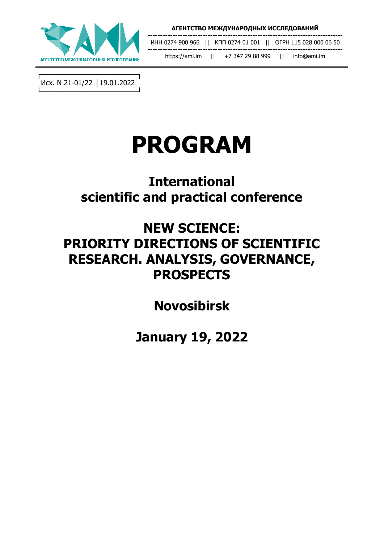

**------------------------------------------------------------------------------** ИНН 0274 900 966 || КПП 0274 01 001 || ОГРН 115 028 000 06 50 **-----------------------------------------------------------------------------** https://ami.im || +7 347 29 88 999 || info@ami.im

┌───────────────────┐ Исх. N 21-01/22 │19.01.2022 └───────────────────┘

# **PROGRAM**

## **International scientific and practical conference**

### **NEW SCIENCE: PRIORITY DIRECTIONS OF SCIENTIFIC RESEARCH. ANALYSIS, GOVERNANCE, PROSPECTS**

**Novosibirsk**

**January 19, 2022**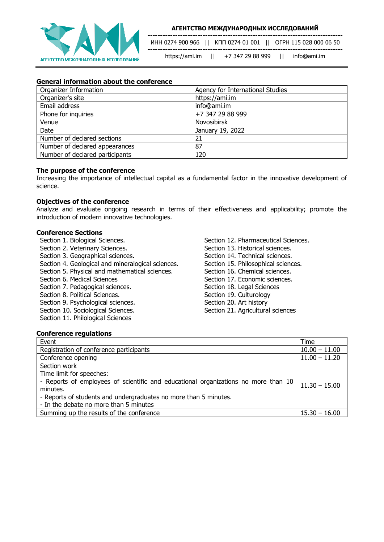

ИНН 0274 900 966 || КПП 0274 01 001 || ОГРН 115 028 000 06 50 **------------------------------------------------------------------------------**

https://ami.im || +7 347 29 88 999 || info@ami.im

**------------------------------------------------------------------------------**

#### **General information about the conference**

| Organizer Information           | Agency for International Studies |
|---------------------------------|----------------------------------|
| Organizer's site                | https://ami.im                   |
| Email address                   | info@ami.im                      |
| Phone for inquiries             | +7 347 29 88 999                 |
| Venue                           | <b>Novosibirsk</b>               |
| Date                            | January 19, 2022                 |
| Number of declared sections     | 21                               |
| Number of declared appearances  | 87                               |
| Number of declared participants | 120                              |

#### **The purpose of the conference**

Increasing the importance of intellectual capital as a fundamental factor in the innovative development of science.

#### **Objectives of the conference**

Analyze and evaluate ongoing research in terms of their effectiveness and applicability; promote the introduction of modern innovative technologies.

#### **Conference Sections**

Section 1. Biological Sciences.

- Section 2. Veterinary Sciences.
- Section 3. Geographical sciences.
- Section 4. Geological and mineralogical sciences.
- Section 5. Physical and mathematical sciences.
- Section 6. Medical Sciences
- Section 7. Pedagogical sciences.
- Section 8. Political Sciences.
- Section 9. Psychological sciences.
- Section 10. Sociological Sciences.
- Section 11. Philological Sciences

Section 12. Pharmaceutical Sciences. Section 13. Historical sciences. Section 14. Technical sciences. Section 15. Philosophical sciences. Section 16. Chemical sciences. Section 17. Economic sciences. Section 18. Legal Sciences Section 19. Culturology Section 20. Art history Section 21. Agricultural sciences

#### **Conference regulations**

| Event                                                                              | <b>Time</b>     |
|------------------------------------------------------------------------------------|-----------------|
| Registration of conference participants                                            | $10.00 - 11.00$ |
| Conference opening                                                                 | $11.00 - 11.20$ |
| Section work                                                                       |                 |
| Time limit for speeches:                                                           |                 |
| - Reports of employees of scientific and educational organizations no more than 10 | $11.30 - 15.00$ |
| minutes.                                                                           |                 |
| - Reports of students and undergraduates no more than 5 minutes.                   |                 |
| - In the debate no more than 5 minutes                                             |                 |
| Summing up the results of the conference                                           | $15.30 - 16.00$ |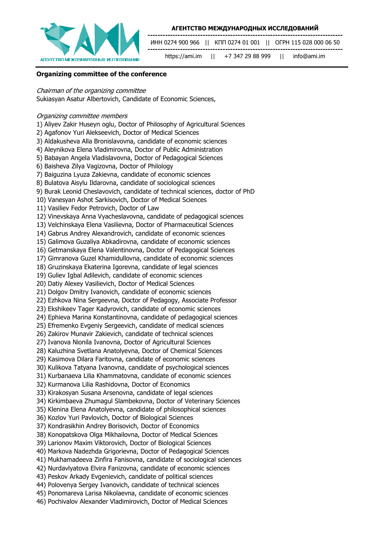

**------------------------------------------------------------------------------** ИНН 0274 900 966 || КПП 0274 01 001 || ОГРН 115 028 000 06 50 **------------------------------------------------------------------------------**

https://ami.im || +7 347 29 88 999 || info@ami.im

**Organizing committee of the conference**

#### Chairman of the organizing committee

Sukiasyan Asatur Albertovich, Candidate of Economic Sciences,

#### Organizing committee members

- 1) Aliyev Zakir Huseyn oglu, Doctor of Philosophy of Agricultural Sciences
- 2) Agafonov Yuri Alekseevich, Doctor of Medical Sciences
- 3) Aldakusheva Alla Bronislavovna, candidate of economic sciences
- 4) Aleynikova Elena Vladimirovna, Doctor of Public Administration
- 5) Babayan Angela Vladislavovna, Doctor of Pedagogical Sciences
- 6) Baisheva Zilya Vagizovna, Doctor of Philology
- 7) Baiguzina Lyuza Zakievna, candidate of economic sciences
- 8) Bulatova Aisylu Ildarovna, candidate of sociological sciences
- 9) Burak Leonid Cheslavovich, candidate of technical sciences, doctor of PhD
- 10) Vanesyan Ashot Sarkisovich, Doctor of Medical Sciences
- 11) Vasiliev Fedor Petrovich, Doctor of Law
- 12) Vinevskaya Anna Vyacheslavovna, candidate of pedagogical sciences
- 13) Velchinskaya Elena Vasilievna, Doctor of Pharmaceutical Sciences
- 14) Gabrus Andrey Alexandrovich, candidate of economic sciences
- 15) Galimova Guzaliya Abkadirovna, candidate of economic sciences
- 16) Getmanskaya Elena Valentinovna, Doctor of Pedagogical Sciences
- 17) Gimranova Guzel Khamidullovna, candidate of economic sciences
- 18) Gruzinskaya Ekaterina Igorevna, candidate of legal sciences
- 19) Guliev Igbal Adilevich, candidate of economic sciences
- 20) Datiy Alexey Vasilievich, Doctor of Medical Sciences
- 21) Dolgov Dmitry Ivanovich, candidate of economic sciences
- 22) Ezhkova Nina Sergeevna, Doctor of Pedagogy, Associate Professor
- 23) Ekshikeev Tager Kadyrovich, candidate of economic sciences
- 24) Ephieva Marina Konstantinovna, candidate of pedagogical sciences
- 25) Efremenko Evgeniy Sergeevich, candidate of medical sciences
- 26) Zakirov Munavir Zakievich, candidate of technical sciences
- 27) Ivanova Nionila Ivanovna, Doctor of Agricultural Sciences
- 28) Kaluzhina Svetlana Anatolyevna, Doctor of Chemical Sciences
- 29) Kasimova Dilara Faritovna, candidate of economic sciences
- 30) Kulikova Tatyana Ivanovna, candidate of psychological sciences
- 31) Kurbanaeva Lilia Khammatovna, candidate of economic sciences
- 32) Kurmanova Lilia Rashidovna, Doctor of Economics
- 33) Kirakosyan Susana Arsenovna, candidate of legal sciences
- 34) Kirkimbaeva Zhumagul Slambekovna, Doctor of Veterinary Sciences
- 35) Klenina Elena Anatolyevna, candidate of philosophical sciences
- 36) Kozlov Yuri Pavlovich, Doctor of Biological Sciences
- 37) Kondrasikhin Andrey Borisovich, Doctor of Economics
- 38) Konopatskova Olga Mikhailovna, Doctor of Medical Sciences
- 39) Larionov Maxim Viktorovich, Doctor of Biological Sciences
- 40) Markova Nadezhda Grigorievna, Doctor of Pedagogical Sciences
- 41) Mukhamadeeva Zinfira Fanisovna, candidate of sociological sciences
- 42) Nurdavlyatova Elvira Fanizovna, candidate of economic sciences
- 43) Peskov Arkady Evgenievich, candidate of political sciences
- 44) Polovenya Sergey Ivanovich, candidate of technical sciences
- 45) Ponomareva Larisa Nikolaevna, candidate of economic sciences
- 46) Pochivalov Alexander Vladimirovich, Doctor of Medical Sciences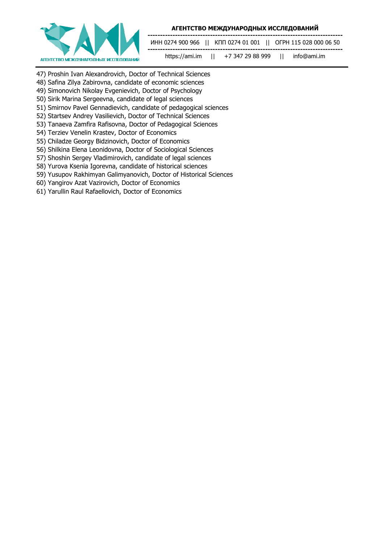

ИНН 0274 900 966 || КПП 0274 01 001 || ОГРН 115 028 000 06 50

**------------------------------------------------------------------------------**

**-----------------------------------------------------------------------------** https://ami.im || +7 347 29 88 999 || info@ami.im

- 47) Proshin Ivan Alexandrovich, Doctor of Technical Sciences
- 48) Safina Zilya Zabirovna, candidate of economic sciences
- 49) Simonovich Nikolay Evgenievich, Doctor of Psychology
- 50) Sirik Marina Sergeevna, candidate of legal sciences
- 51) Smirnov Pavel Gennadievich, candidate of pedagogical sciences
- 52) Startsev Andrey Vasilievich, Doctor of Technical Sciences
- 53) Tanaeva Zamfira Rafisovna, Doctor of Pedagogical Sciences
- 54) Terziev Venelin Krastev, Doctor of Economics
- 55) Chiladze Georgy Bidzinovich, Doctor of Economics
- 56) Shilkina Elena Leonidovna, Doctor of Sociological Sciences
- 57) Shoshin Sergey Vladimirovich, candidate of legal sciences
- 58) Yurova Ksenia Igorevna, candidate of historical sciences
- 59) Yusupov Rakhimyan Galimyanovich, Doctor of Historical Sciences
- 60) Yangirov Azat Vazirovich, Doctor of Economics
- 61) Yarullin Raul Rafaellovich, Doctor of Economics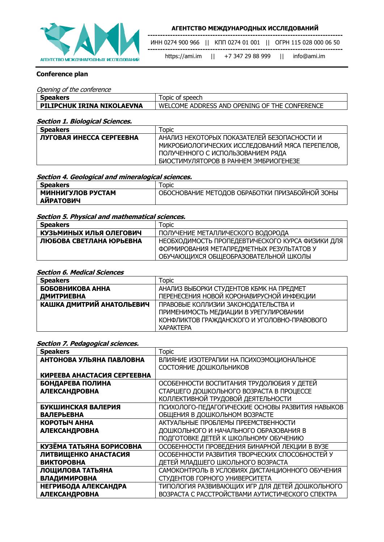

**------------------------------------------------------------------------------**

ИНН 0274 900 966 || КПП 0274 01 001 || ОГРН 115 028 000 06 50

**-----------------------------------------------------------------------------** https://ami.im || +7 347 29 88 999 || info@ami.im

### **Conference plan**

#### Opening of the conference

| <b>Speakers</b>            | Topic of speech                               |
|----------------------------|-----------------------------------------------|
| PILIPCHUK IRINA NIKOLAEVNA | WELCOME ADDRESS AND OPENING OF THE CONFERENCE |

#### **Section 1. Biological Sciences.**

| <b>Speakers</b>          | Topic                                           |
|--------------------------|-------------------------------------------------|
| ЛУГОВАЯ ИНЕССА СЕРГЕЕВНА | АНАЛИЗ НЕКОТОРЫХ ПОКАЗАТЕЛЕЙ БЕЗОПАСНОСТИ И     |
|                          | МИКРОБИОЛОГИЧЕСКИХ ИССЛЕДОВАНИЙ МЯСА ПЕРЕПЕЛОВ, |
|                          | ПОЛУЧЕННОГО С ИСПОЛЬЗОВАНИЕМ РЯДА               |
|                          | БИОСТИМУЛЯТОРОВ В РАННЕМ ЭМБРИОГЕНЕЗЕ           |

#### **Section 4. Geological and mineralogical sciences.**

| <b>Speakers</b>   | <b>Topic</b>                                   |
|-------------------|------------------------------------------------|
| МИННИГУЛОВ РУСТАМ | ОБОСНОВАНИЕ МЕТОДОВ ОБРАБОТКИ ПРИЗАБОЙНОЙ ЗОНЫ |
| <b>АИРАТОВИЧ</b>  |                                                |

#### **Section 5. Physical and mathematical sciences.**

| <b>Speakers</b>         | Topic                                            |
|-------------------------|--------------------------------------------------|
| КУЗЬМИНЫХ ИЛЬЯ ОЛЕГОВИЧ | ПОЛУЧЕНИЕ МЕТАЛЛИЧЕСКОГО ВОДОРОДА                |
| ЛЮБОВА СВЕТЛАНА ЮРЬЕВНА | НЕОБХОДИМОСТЬ ПРОПЕДЕВТИЧЕСКОГО КУРСА ФИЗИКИ ДЛЯ |
|                         | ФОРМИРОВАНИЯ МЕТАПРЕДМЕТНЫХ РЕЗУЛЬТАТОВ У        |
|                         | ОБУЧАЮЩИХСЯ ОБЩЕОБРАЗОВАТЕЛЬНОЙ ШКОЛЫ            |

#### **Section 6. Medical Sciences**

| <b>Speakers</b>                  | Topic                                        |
|----------------------------------|----------------------------------------------|
| БОБОВНИКОВА АННА                 | АНАЛИЗ ВЫБОРКИ СТУДЕНТОВ КБМК НА ПРЕДМЕТ     |
| ДМИТРИЕВНА                       | ПЕРЕНЕСЕНИЯ НОВОЙ КОРОНАВИРУСНОЙ ИНФЕКЦИИ    |
| <b>КАШКА ДМИТРИЙ АНАТОЛЬЕВИЧ</b> | ПРАВОВЫЕ КОЛЛИЗИИ ЗАКОНОДАТЕЛЬСТВА И         |
|                                  | ПРИМЕНИМОСТЬ МЕДИАЦИИ В УРЕГУЛИРОВАНИИ       |
|                                  | КОНФЛИКТОВ ГРАЖДАНСКОГО И УГОЛОВНО-ПРАВОВОГО |
|                                  | <b>XAPAKTEPA</b>                             |

#### **Section 7. Pedagogical sciences.**

| <b>Speakers</b>             | <b>Topic</b>                                     |
|-----------------------------|--------------------------------------------------|
| АНТОНОВА УЛЬЯНА ПАВЛОВНА    | ВЛИЯНИЕ ИЗОТЕРАПИИ НА ПСИХОЭМОЦИОНАЛЬНОЕ         |
|                             | СОСТОЯНИЕ ДОШКОЛЬНИКОВ                           |
| КИРЕЕВА АНАСТАСИЯ СЕРГЕЕВНА |                                                  |
| БОНДАРЕВА ПОЛИНА            | ОСОБЕННОСТИ ВОСПИТАНИЯ ТРУДОЛЮБИЯ У ДЕТЕЙ        |
| <b>АЛЕКСАНДРОВНА</b>        | СТАРШЕГО ДОШКОЛЬНОГО ВОЗРАСТА В ПРОЦЕССЕ         |
|                             | КОЛЛЕКТИВНОЙ ТРУДОВОЙ ДЕЯТЕЛЬНОСТИ               |
| БУКШИНСКАЯ ВАЛЕРИЯ          | ПСИХОЛОГО-ПЕДАГОГИЧЕСКИЕ ОСНОВЫ РАЗВИТИЯ НАВЫКОВ |
| <b>ВАЛЕРЬЕВНА</b>           | ОБЩЕНИЯ В ДОШКОЛЬНОМ ВОЗРАСТЕ                    |
| КОРОТЫЧ АННА                | АКТУАЛЬНЫЕ ПРОБЛЕМЫ ПРЕЕМСТВЕННОСТИ              |
| <b>АЛЕКСАНДРОВНА</b>        | ДОШКОЛЬНОГО И НАЧАЛЬНОГО ОБРАЗОВАНИЯ В           |
|                             | ПОДГОТОВКЕ ДЕТЕЙ К ШКОЛЬНОМУ ОБУЧЕНИЮ            |
| КУЗЁМА ТАТЬЯНА БОРИСОВНА    | ОСОБЕННОСТИ ПРОВЕДЕНИЯ БИНАРНОЙ ЛЕКЦИИ В ВУЗЕ    |
| ЛИТВИЩЕНКО АНАСТАСИЯ        | ОСОБЕННОСТИ РАЗВИТИЯ ТВОРЧЕСКИХ СПОСОБНОСТЕЙ У   |
| <b>ВИКТОРОВНА</b>           | ДЕТЕЙ МЛАДШЕГО ШКОЛЬНОГО ВОЗРАСТА                |
| ЛОЩИЛОВА ТАТЬЯНА            | САМОКОНТРОЛЬ В УСЛОВИЯХ ДИСТАНЦИОННОГО ОБУЧЕНИЯ  |
| <b>ВЛАДИМИРОВНА</b>         | СТУДЕНТОВ ГОРНОГО УНИВЕРСИТЕТА                   |
| <b>НЕГРИБОДА АЛЕКСАНДРА</b> | ТИПОЛОГИЯ РАЗВИВАЮЩИХ ИГР ДЛЯ ДЕТЕЙ ДОШКОЛЬНОГО  |
| <b>АЛЕКСАНДРОВНА</b>        | ВОЗРАСТА С РАССТРОЙСТВАМИ АУТИСТИЧЕСКОГО СПЕКТРА |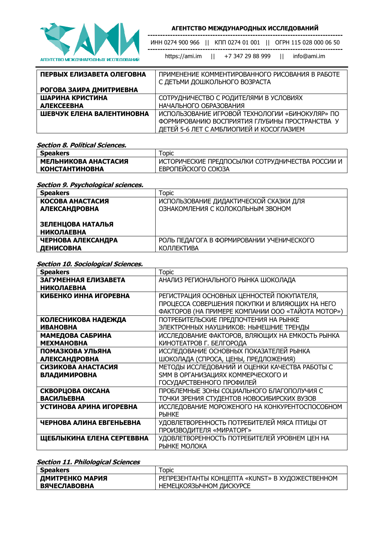

**------------------------------------------------------------------------------** ИНН 0274 900 966 || КПП 0274 01 001 || ОГРН 115 028 000 06 50

**-----------------------------------------------------------------------------** https://ami.im || +7 347 29 88 999 || info@ami.im

| ПЕРВЫХ ЕЛИЗАВЕТА ОЛЕГОВНА | ПРИМЕНЕНИЕ КОММЕНТИРОВАННОГО РИСОВАНИЯ В РАБОТЕ<br>С ДЕТЬМИ ДОШКОЛЬНОГО ВОЗРАСТА |
|---------------------------|----------------------------------------------------------------------------------|
| РОГОВА ЗАИРА ДМИТРИЕВНА   |                                                                                  |
| ШАРИНА КРИСТИНА           | СОТРУДНИЧЕСТВО С РОДИТЕЛЯМИ В УСЛОВИЯХ                                           |
| <b>АЛЕКСЕЕВНА</b>         | НАЧАЛЬНОГО ОБРАЗОВАНИЯ                                                           |
| ШЕВЧУК ЕЛЕНА ВАЛЕНТИНОВНА | ИСПОЛЬЗОВАНИЕ ИГРОВОЙ ТЕХНОЛОГИИ «БИНОКУЛЯР» ПО                                  |
|                           | ФОРМИРОВАНИЮ ВОСПРИЯТИЯ ГЛУБИНЫ ПРОСТРАНСТВА У                                   |
|                           | ДЕТЕЙ 5-6 ЛЕТ С АМБЛИОПИЕЙ И КОСОГЛАЗИЕМ                                         |

**Section 8. Political Sciences.**

| <b>Speakers</b>       | $\tau$ opic                                      |
|-----------------------|--------------------------------------------------|
| МЕЛЬНИКОВА АНАСТАСИЯ  | ИСТОРИЧЕСКИЕ ПРЕДПОСЫЛКИ СОТРУДНИЧЕСТВА РОССИИ И |
| <b>КОНСТАНТИНОВНА</b> | ЕВРОПЕЙСКОГО СОЮЗА                               |

**Section 9. Psychological sciences.**

| <b>Speakers</b>         | Topic                                     |
|-------------------------|-------------------------------------------|
| <b>KOCOBA AHACTACUS</b> | ИСПОЛЬЗОВАНИЕ ДИДАКТИЧЕСКОЙ СКАЗКИ ДЛЯ    |
| <b>АЛЕКСАНДРОВНА</b>    | ОЗНАКОМЛЕНИЯ С КОЛОКОЛЬНЫМ ЗВОНОМ         |
|                         |                                           |
| ЗЕЛЕНЦОВА НАТАЛЬЯ       |                                           |
| <b>НИКОЛАЕВНА</b>       |                                           |
| ЧЕРНОВА АЛЕКСАНДРА      | РОЛЬ ПЕДАГОГА В ФОРМИРОВАНИИ УЧЕНИЧЕСКОГО |
| ДЕНИСОВНА               | <b>КОЛЛЕКТИВА</b>                         |

#### **Section 10. Sociological Sciences.**

| <b>Speakers</b>            | <b>Topic</b>                                      |
|----------------------------|---------------------------------------------------|
| ЗАГУМЕННАЯ ЕЛИЗАВЕТА       | АНАЛИЗ РЕГИОНАЛЬНОГО РЫНКА ШОКОЛАДА               |
| <b>НИКОЛАЕВНА</b>          |                                                   |
| КИБЕНКО ИННА ИГОРЕВНА      | РЕГИСТРАЦИЯ ОСНОВНЫХ ЦЕННОСТЕЙ ПОКУПАТЕЛЯ,        |
|                            | ПРОЦЕССА СОВЕРШЕНИЯ ПОКУПКИ И ВЛИЯЮЩИХ НА НЕГО    |
|                            | ФАКТОРОВ (НА ПРИМЕРЕ КОМПАНИИ ООО «ТАЙОТА МОТОР») |
| <b>КОЛЕСНИКОВА НАДЕЖДА</b> | ПОТРЕБИТЕЛЬСКИЕ ПРЕДПОЧТЕНИЯ НА РЫНКЕ             |
| <b>ИВАНОВНА</b>            | ЭЛЕКТРОННЫХ НАУШНИКОВ: НЫНЕШНИЕ ТРЕНДЫ            |
| МАМЕДОВА САБРИНА           | ИССЛЕДОВАНИЕ ФАКТОРОВ, ВЛЯЮЩИХ НА ЕМКОСТЬ РЫНКА   |
| <b>МЕХМАНОВНА</b>          | КИНОТЕАТРОВ Г. БЕЛГОРОДА                          |
| ПОМАЗКОВА УЛЬЯНА           | ИССЛЕДОВАНИЕ ОСНОВНЫХ ПОКАЗАТЕЛЕЙ РЫНКА           |
| <b>АЛЕКСАНДРОВНА</b>       | ШОКОЛАДА (СПРОСА, ЦЕНЫ, ПРЕДЛОЖЕНИЯ)              |
| СИЗИКОВА АНАСТАСИЯ         | МЕТОДЫ ИССЛЕДОВАНИЙ И ОЦЕНКИ КАЧЕСТВА РАБОТЫ С    |
| <b>ВЛАДИМИРОВНА</b>        | <b>SMM В ОРГАНИЗАЦИЯХ КОММЕРЧЕСКОГО И</b>         |
|                            | ГОСУДАРСТВЕННОГО ПРОФИЛЕЙ                         |
| СКВОРЦОВА ОКСАНА           | ПРОБЛЕМНЫЕ ЗОНЫ СОЦИАЛЬНОГО БЛАГОПОЛУЧИЯ С        |
| <b>ВАСИЛЬЕВНА</b>          | ТОЧКИ ЗРЕНИЯ СТУДЕНТОВ НОВОСИБИРСКИХ ВУЗОВ        |
| УСТИНОВА АРИНА ИГОРЕВНА    | ИССЛЕДОВАНИЕ МОРОЖЕНОГО НА КОНКУРЕНТОСПОСОБНОМ    |
|                            | <b>PHHKE</b>                                      |
| ЧЕРНОВА АЛИНА ЕВГЕНЬЕВНА   | УДОВЛЕТВОРЕННОСТЬ ПОТРЕБИТЕЛЕЙ МЯСА ПТИЦЫ ОТ      |
|                            | ПРОИЗВОДИТЕЛЯ «МИРАТОРГ»                          |
| ЩЕБЛЫКИНА ЕЛЕНА СЕРГЕВВНА  | УДОВЛЕТВОРЕННОСТЬ ПОТРЕБИТЕЛЕЙ УРОВНЕМ ЦЕН НА     |
|                            | РЫНКЕ МОЛОКА                                      |

### **Section 11. Philological Sciences**

| <b>Speakers</b>          | Topic                                           |
|--------------------------|-------------------------------------------------|
| <b>  ДМИТРЕНКО МАРИЯ</b> | РЕПРЕЗЕНТАНТЫ КОНЦЕПТА «KUNST» В ХУДОЖЕСТВЕННОМ |
| <b>ВЯЧЕСЛАВОВНА</b>      | НЕМЕЦКОЯЗЫЧНОМ ДИСКУРСЕ                         |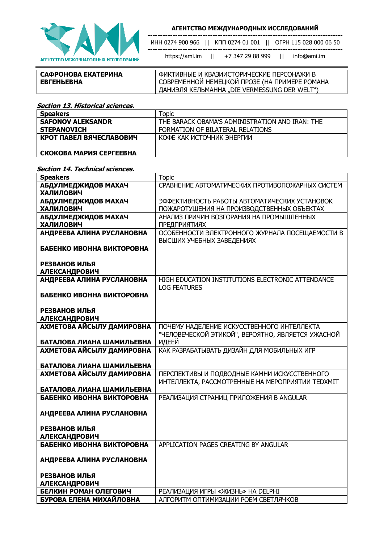

ИНН 0274 900 966 || КПП 0274 01 001 || ОГРН 115 028 000 06 50

**------------------------------------------------------------------------------**

https://ami.im || +7 347 29 88 999 || info@ami.im

**------------------------------------------------------------------------------**

**САФРОНОВА ЕКАТЕРИНА** 

ФИКТИВНЫЕ И КВАЗИИСТОРИЧЕСКИЕ ПЕРСОНАЖИ В СОВРЕМЕННОЙ НЕМЕЦКОЙ ПРОЗЕ (НА ПРИМЕРЕ РОМАНА ДАНИЭЛЯ КЕЛЬМАННА "DIE VERMESSUNG DER WELT")

**Section 13. Historical sciences.**

**ЕВГЕНЬЕВНА**

| <b>Speakers</b>          | Topic                                           |
|--------------------------|-------------------------------------------------|
| <b>SAFONOV ALEKSANDR</b> | THE BARACK OBAMA'S ADMINISTRATION AND IRAN: THE |
| <b>STEPANOVICH</b>       | FORMATION OF BILATERAL RELATIONS                |
| КРОТ ПАВЕЛ ВЯЧЕСЛАВОВИЧ  | КОФЕ КАК ИСТОЧНИК ЭНЕРГИИ                       |
|                          |                                                 |
| СКОКОВА МАРИЯ СЕРГЕЕВНА  |                                                 |

#### **Section 14. Technical sciences.**

| <b>Speakers</b>                                        | <b>Topic</b>                                                                                    |
|--------------------------------------------------------|-------------------------------------------------------------------------------------------------|
| АБДУЛМЕДЖИДОВ МАХАЧ<br><b>ХАЛИЛОВИЧ</b>                | СРАВНЕНИЕ АВТОМАТИЧЕСКИХ ПРОТИВОПОЖАРНЫХ СИСТЕМ                                                 |
| АБДУЛМЕДЖИДОВ МАХАЧ<br><b>ХАЛИЛОВИЧ</b>                | ЭФФЕКТИВНОСТЬ РАБОТЫ АВТОМАТИЧЕСКИХ УСТАНОВОК<br>ПОЖАРОТУШЕНИЯ НА ПРОИЗВОДСТВЕННЫХ ОБЪЕКТАХ     |
| АБДУЛМЕДЖИДОВ МАХАЧ<br><b>ХАЛИЛОВИЧ</b>                | АНАЛИЗ ПРИЧИН ВОЗГОРАНИЯ НА ПРОМЫШЛЕННЫХ<br><b>ПРЕДПРИЯТИЯХ</b>                                 |
| АНДРЕЕВА АЛИНА РУСЛАНОВНА                              | ОСОБЕННОСТИ ЭЛЕКТРОННОГО ЖУРНАЛА ПОСЕЩАЕМОСТИ В<br>ВЫСШИХ УЧЕБНЫХ ЗАВЕДЕНИЯХ                    |
| БАБЕНКО ИВОННА ВИКТОРОВНА                              |                                                                                                 |
| РЕЗВАНОВ ИЛЬЯ<br><b>АЛЕКСАНДРОВИЧ</b>                  |                                                                                                 |
| АНДРЕЕВА АЛИНА РУСЛАНОВНА                              | HIGH EDUCATION INSTITUTIONS ELECTRONIC ATTENDANCE<br><b>LOG FEATURES</b>                        |
| БАБЕНКО ИВОННА ВИКТОРОВНА                              |                                                                                                 |
| РЕЗВАНОВ ИЛЬЯ<br><b>АЛЕКСАНДРОВИЧ</b>                  |                                                                                                 |
| АХМЕТОВА АЙСЫЛУ ДАМИРОВНА                              | ПОЧЕМУ НАДЕЛЕНИЕ ИСКУССТВЕННОГО ИНТЕЛЛЕКТА<br>"ЧЕЛОВЕЧЕСКОЙ ЭТИКОЙ", ВЕРОЯТНО, ЯВЛЯЕТСЯ УЖАСНОЙ |
| БАТАЛОВА ЛИАНА ШАМИЛЬЕВНА                              | ИДЕЕЙ                                                                                           |
| АХМЕТОВА АЙСЫЛУ ДАМИРОВНА<br>БАТАЛОВА ЛИАНА ШАМИЛЬЕВНА | КАК РАЗРАБАТЫВАТЬ ДИЗАЙН ДЛЯ МОБИЛЬНЫХ ИГР                                                      |
| АХМЕТОВА АЙСЫЛУ ДАМИРОВНА                              | ПЕРСПЕКТИВЫ И ПОДВОДНЫЕ КАМНИ ИСКУССТВЕННОГО                                                    |
|                                                        | ИНТЕЛЛЕКТА, РАССМОТРЕННЫЕ НА МЕРОПРИЯТИИ ТЕDХМІТ                                                |
| БАТАЛОВА ЛИАНА ШАМИЛЬЕВНА                              |                                                                                                 |
| БАБЕНКО ИВОННА ВИКТОРОВНА                              | РЕАЛИЗАЦИЯ СТРАНИЦ ПРИЛОЖЕНИЯ В ANGULAR                                                         |
| АНДРЕЕВА АЛИНА РУСЛАНОВНА                              |                                                                                                 |
| РЕЗВАНОВ ИЛЬЯ<br><b>АЛЕКСАНДРОВИЧ</b>                  |                                                                                                 |
| БАБЕНКО ИВОННА ВИКТОРОВНА                              | APPLICATION PAGES CREATING BY ANGULAR                                                           |
| АНДРЕЕВА АЛИНА РУСЛАНОВНА                              |                                                                                                 |
| РЕЗВАНОВ ИЛЬЯ<br><b>АЛЕКСАНДРОВИЧ</b>                  |                                                                                                 |
| БЕЛКИН РОМАН ОЛЕГОВИЧ                                  | РЕАЛИЗАЦИЯ ИГРЫ «ЖИЗНЬ» НА DELPHI                                                               |
| БУРОВА ЕЛЕНА МИХАЙЛОВНА                                | АЛГОРИТМ ОПТИМИЗАЦИИ РОЕМ СВЕТЛЯЧКОВ                                                            |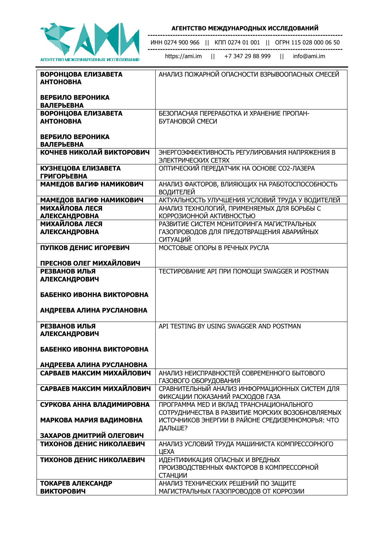

**------------------------------------------------------------------------------** ИНН 0274 900 966 || КПП 0274 01 001 || ОГРН 115 028 000 06 50

**------------------------------------------------------------------------------**

https://ami.im || +7 347 29 88 999 || info@ami.im

| ВОРОНЦОВА ЕЛИЗАВЕТА<br><b>АНТОНОВНА</b>          | АНАЛИЗ ПОЖАРНОЙ ОПАСНОСТИ ВЗРЫВООПАСНЫХ СМЕСЕЙ                                               |
|--------------------------------------------------|----------------------------------------------------------------------------------------------|
| ВЕРБИЛО ВЕРОНИКА<br><b>ВАЛЕРЬЕВНА</b>            |                                                                                              |
| ВОРОНЦОВА ЕЛИЗАВЕТА<br><b>АНТОНОВНА</b>          | БЕЗОПАСНАЯ ПЕРЕРАБОТКА И ХРАНЕНИЕ ПРОПАН-<br>БУТАНОВОЙ СМЕСИ                                 |
| ВЕРБИЛО ВЕРОНИКА<br><b>ВАЛЕРЬЕВНА</b>            |                                                                                              |
| КОЧНЕВ НИКОЛАЙ ВИКТОРОВИЧ                        | ЭНЕРГОЭФФЕКТИВНОСТЬ РЕГУЛИРОВАНИЯ НАПРЯЖЕНИЯ В<br>ЭЛЕКТРИЧЕСКИХ СЕТЯХ                        |
| <b>КУЗНЕЦОВА ЕЛИЗАВЕТА</b><br><b>ГРИГОРЬЕВНА</b> | ОПТИЧЕСКИЙ ПЕРЕДАТЧИК НА ОСНОВЕ СО2-ЛАЗЕРА                                                   |
| МАМЕДОВ ВАГИФ НАМИКОВИЧ                          | АНАЛИЗ ФАКТОРОВ, ВЛИЯЮЩИХ НА РАБОТОСПОСОБНОСТЬ<br><b>ВОДИТЕЛЕЙ</b>                           |
| МАМЕДОВ ВАГИФ НАМИКОВИЧ                          | АКТУАЛЬНОСТЬ УЛУЧШЕНИЯ УСЛОВИЙ ТРУДА У ВОДИТЕЛЕЙ                                             |
| <b>МИХАЙЛОВА ЛЕСЯ</b><br><b>АЛЕКСАНДРОВНА</b>    | АНАЛИЗ ТЕХНОЛОГИЙ, ПРИМЕНЯЕМЫХ ДЛЯ БОРЬБЫ С<br>КОРРОЗИОННОЙ АКТИВНОСТЬЮ                      |
| <b>МИХАЙЛОВА ЛЕСЯ</b>                            | РАЗВИТИЕ СИСТЕМ МОНИТОРИНГА МАГИСТРАЛЬНЫХ                                                    |
| <b>АЛЕКСАНДРОВНА</b>                             | ГАЗОПРОВОДОВ ДЛЯ ПРЕДОТВРАЩЕНИЯ АВАРИЙНЫХ<br><b>СИТУАЦИЙ</b>                                 |
| ПУПКОВ ДЕНИС ИГОРЕВИЧ                            | МОСТОВЫЕ ОПОРЫ В РЕЧНЫХ РУСЛА                                                                |
| ПРЕСНОВ ОЛЕГ МИХАЙЛОВИЧ                          |                                                                                              |
| РЕЗВАНОВ ИЛЬЯ                                    | ТЕСТИРОВАНИЕ АРІ ПРИ ПОМОЩИ SWAGGER И РОSTMAN                                                |
| <b>АЛЕКСАНДРОВИЧ</b>                             |                                                                                              |
| БАБЕНКО ИВОННА ВИКТОРОВНА                        |                                                                                              |
| АНДРЕЕВА АЛИНА РУСЛАНОВНА                        |                                                                                              |
| <b>РЕЗВАНОВ ИЛЬЯ</b><br><b>АЛЕКСАНДРОВИЧ</b>     | API TESTING BY USING SWAGGER AND POSTMAN                                                     |
| БАБЕНКО ИВОННА ВИКТОРОВНА                        |                                                                                              |
| АНДРЕЕВА АЛИНА РУСЛАНОВНА                        |                                                                                              |
| САРВАЕВ МАКСИМ МИХАЙЛОВИЧ                        | АНАЛИЗ НЕИСПРАВНОСТЕЙ СОВРЕМЕННОГО БЫТОВОГО<br>ГАЗОВОГО ОБОРУДОВАНИЯ                         |
| САРВАЕВ МАКСИМ МИХАЙЛОВИЧ                        | СРАВНИТЕЛЬНЫЙ АНАЛИЗ ИНФОРМАЦИОННЫХ СИСТЕМ ДЛЯ<br>ФИКСАЦИИ ПОКАЗАНИЙ РАСХОДОВ ГАЗА           |
| СУРКОВА АННА ВЛАДИМИРОВНА                        | ПРОГРАММА МЕД И ВКЛАД ТРАНСНАЦИОНАЛЬНОГО<br>СОТРУДНИЧЕСТВА В РАЗВИТИЕ МОРСКИХ ВОЗОБНОВЛЯЕМЫХ |
| МАРКОВА МАРИЯ ВАДИМОВНА                          | ИСТОЧНИКОВ ЭНЕРГИИ В РАЙОНЕ СРЕДИЗЕМНОМОРЬЯ: ЧТО<br>ДАЛЬШЕ?                                  |
| ЗАХАРОВ ДМИТРИЙ ОЛЕГОВИЧ                         |                                                                                              |
| ТИХОНОВ ДЕНИС НИКОЛАЕВИЧ                         | АНАЛИЗ УСЛОВИЙ ТРУДА МАШИНИСТА КОМПРЕССОРНОГО<br>ЦЕХА                                        |
| ТИХОНОВ ДЕНИС НИКОЛАЕВИЧ                         | ИДЕНТИФИКАЦИЯ ОПАСНЫХ И ВРЕДНЫХ                                                              |
|                                                  | ПРОИЗВОДСТВЕННЫХ ФАКТОРОВ В КОМПРЕССОРНОЙ<br><b>СТАНЦИИ</b>                                  |
| <b>ТОКАРЕВ АЛЕКСАНДР</b>                         | АНАЛИЗ ТЕХНИЧЕСКИХ РЕШЕНИЙ ПО ЗАЩИТЕ                                                         |
| <b>ВИКТОРОВИЧ</b>                                | МАГИСТРАЛЬНЫХ ГАЗОПРОВОДОВ ОТ КОРРОЗИИ                                                       |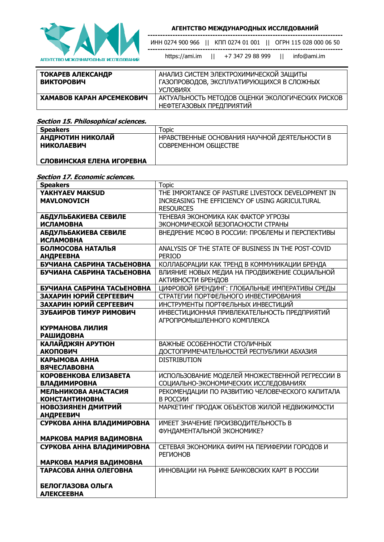

**-----------------------------------------------------------------------------** https://ami.im || +7 347 29 88 999 || info@ami.im

| АНАЛИЗ СИСТЕМ ЭЛЕКТРОХИМИЧЕСКОЙ ЗАЩИТЫ           |  |
|--------------------------------------------------|--|
|                                                  |  |
|                                                  |  |
| ГАЗОПРОВОДОВ, ЭКСПЛУАТИРУЮЩИХСЯ В СЛОЖНЫХ        |  |
|                                                  |  |
| УСЛОВИЯХ                                         |  |
|                                                  |  |
| АКТУАЛЬНОСТЬ МЕТОДОВ ОЦЕНКИ ЭКОЛОГИЧЕСКИХ РИСКОВ |  |
|                                                  |  |
| НЕФТЕГАЗОВЫХ ПРЕДПРИЯТИЙ                         |  |
|                                                  |  |

#### **Section 15. Philosophical sciences.**

| <b>Speakers</b>           | Topic                                         |
|---------------------------|-----------------------------------------------|
| АНДРЮТИН НИКОЛАЙ          | НРАВСТВЕННЫЕ ОСНОВАНИЯ НАУЧНОЙ ДЕЯТЕЛЬНОСТИ В |
| <b>НИКОЛАЕВИЧ</b>         | СОВРЕМЕННОМ ОБЩЕСТВЕ                          |
|                           |                                               |
| СЛОВИНСКАЯ ЕЛЕНА ИГОРЕВНА |                                               |

#### **Section 17. Economic sciences.**

| <b>Speakers</b>            | <b>Topic</b>                                        |
|----------------------------|-----------------------------------------------------|
| YAKHYAEV MAKSUD            | THE IMPORTANCE OF PASTURE LIVESTOCK DEVELOPMENT IN  |
| <b>MAVLONOVICH</b>         | INCREASING THE EFFICIENCY OF USING AGRICULTURAL     |
|                            | <b>RESOURCES</b>                                    |
| АБДУЛЬБАКИЕВА СЕВИЛЕ       | ТЕНЕВАЯ ЭКОНОМИКА КАК ФАКТОР УГРОЗЫ                 |
| <b>ИСЛАМОВНА</b>           | ЭКОНОМИЧЕСКОЙ БЕЗОПАСНОСТИ СТРАНЫ                   |
| АБДУЛЬБАКИЕВА СЕВИЛЕ       | ВНЕДРЕНИЕ МСФО В РОССИИ: ПРОБЛЕМЫ И ПЕРСПЕКТИВЫ     |
| <b>ИСЛАМОВНА</b>           |                                                     |
| БОЛМОСОВА НАТАЛЬЯ          | ANALYSIS OF THE STATE OF BUSINESS IN THE POST-COVID |
| <b>АНДРЕЕВНА</b>           | <b>PERIOD</b>                                       |
| БУЧИАНА САБРИНА ТАСЬЕНОВНА | КОЛЛАБОРАЦИИ КАК ТРЕНД В КОММУНИКАЦИИ БРЕНДА        |
| БУЧИАНА САБРИНА ТАСЬЕНОВНА | ВЛИЯНИЕ НОВЫХ МЕДИА НА ПРОДВИЖЕНИЕ СОЦИАЛЬНОЙ       |
|                            | АКТИВНОСТИ БРЕНДОВ                                  |
| БУЧИАНА САБРИНА ТАСЬЕНОВНА | ЦИФРОВОЙ БРЕНДИНГ: ГЛОБАЛЬНЫЕ ИМПЕРАТИВЫ СРЕДЫ      |
| ЗАХАРИН ЮРИЙ СЕРГЕЕВИЧ     | СТРАТЕГИИ ПОРТФЕЛЬНОГО ИНВЕСТИРОВАНИЯ               |
| ЗАХАРИН ЮРИЙ СЕРГЕЕВИЧ     | ИНСТРУМЕНТЫ ПОРТФЕЛЬНЫХ ИНВЕСТИЦИЙ                  |
| ЗУБАИРОВ ТИМУР РИМОВИЧ     | ИНВЕСТИЦИОННАЯ ПРИВЛЕКАТЕЛЬНОСТЬ ПРЕДПРИЯТИЙ        |
|                            | АГРОПРОМЫШЛЕННОГО КОМПЛЕКСА                         |
| КУРМАНОВА ЛИЛИЯ            |                                                     |
| <b>РАШИДОВНА</b>           |                                                     |
| КАЛАЙДЖЯН АРУТЮН           | ВАЖНЫЕ ОСОБЕННОСТИ СТОЛИЧНЫХ                        |
| <b>АКОПОВИЧ</b>            | ДОСТОПРИМЕЧАТЕЛЬНОСТЕЙ РЕСПУБЛИКИ АБХАЗИЯ           |
| КАРЫМОВА АННА              | <b>DISTRIBUTION</b>                                 |
| <b>ВЯЧЕСЛАВОВНА</b>        |                                                     |
| КОРОВЕНКОВА ЕЛИЗАВЕТА      | ИСПОЛЬЗОВАНИЕ МОДЕЛЕЙ МНОЖЕСТВЕННОЙ РЕГРЕССИИ В     |
| <b>ВЛАДИМИРОВНА</b>        | СОЦИАЛЬНО-ЭКОНОМИЧЕСКИХ ИССЛЕДОВАНИЯХ               |
| МЕЛЬНИКОВА АНАСТАСИЯ       | РЕКОМЕНДАЦИИ ПО РАЗВИТИЮ ЧЕЛОВЕЧЕСКОГО КАПИТАЛА     |
| <b>КОНСТАНТИНОВНА</b>      | В РОССИИ                                            |
| НОВОЗИЯНЕН ДМИТРИЙ         | МАРКЕТИНГ ПРОДАЖ ОБЪЕКТОВ ЖИЛОЙ НЕДВИЖИМОСТИ        |
| <b>АНДРЕЕВИЧ</b>           |                                                     |
| СУРКОВА АННА ВЛАДИМИРОВНА  | ИМЕЕТ ЗНАЧЕНИЕ ПРОИЗВОДИТЕЛЬНОСТЬ В                 |
|                            | ФУНДАМЕНТАЛЬНОЙ ЭКОНОМИКЕ?                          |
| МАРКОВА МАРИЯ ВАДИМОВНА    |                                                     |
| СУРКОВА АННА ВЛАДИМИРОВНА  | СЕТЕВАЯ ЭКОНОМИКА ФИРМ НА ПЕРИФЕРИИ ГОРОДОВ И       |
|                            | <b>РЕГИОНОВ</b>                                     |
| МАРКОВА МАРИЯ ВАДИМОВНА    |                                                     |
| ТАРАСОВА АННА ОЛЕГОВНА     | ИННОВАЦИИ НА РЫНКЕ БАНКОВСКИХ КАРТ В РОССИИ         |
|                            |                                                     |
| БЕЛОГЛАЗОВА ОЛЬГА          |                                                     |
| <b>АЛЕКСЕЕВНА</b>          |                                                     |